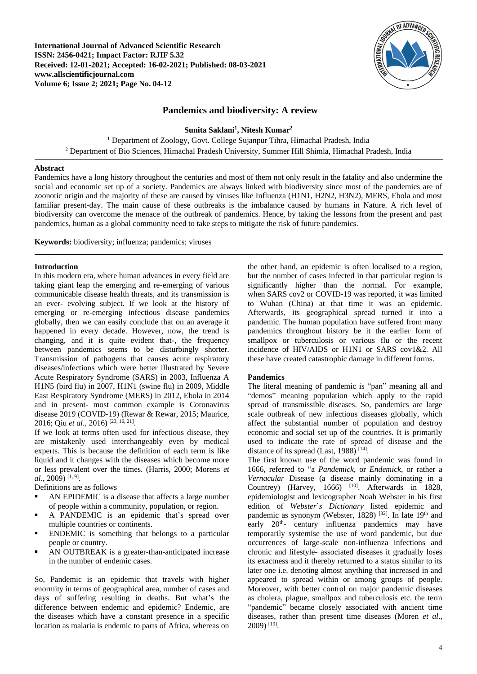

# **Pandemics and biodiversity: A review**

**Sunita Saklani<sup>1</sup> , Nitesh Kumar<sup>2</sup>**

<sup>1</sup> Department of Zoology, Govt. College Sujanpur Tihra, Himachal Pradesh, India <sup>2</sup> Department of Bio Sciences, Himachal Pradesh University, Summer Hill Shimla, Himachal Pradesh, India

### **Abstract**

Pandemics have a long history throughout the centuries and most of them not only result in the fatality and also undermine the social and economic set up of a society. Pandemics are always linked with biodiversity since most of the pandemics are of zoonotic origin and the majority of these are caused by viruses like Influenza (H1N1, H2N2, H3N2), MERS, Ebola and most familiar present-day. The main cause of these outbreaks is the imbalance caused by humans in Nature. A rich level of biodiversity can overcome the menace of the outbreak of pandemics. Hence, by taking the lessons from the present and past pandemics, human as a global community need to take steps to mitigate the risk of future pandemics.

**Keywords:** biodiversity; influenza; pandemics; viruses

### **Introduction**

In this modern era, where human advances in every field are taking giant leap the emerging and re-emerging of various communicable disease health threats, and its transmission is an ever- evolving subject. If we look at the history of emerging or re-emerging infectious disease pandemics globally, then we can easily conclude that on an average it happened in every decade. However, now, the trend is changing, and it is quite evident that-, the frequency between pandemics seems to be disturbingly shorter. Transmission of pathogens that causes acute respiratory diseases/infections which were better illustrated by Severe Acute Respiratory Syndrome (SARS) in 2003, Influenza A H1N5 (bird flu) in 2007, H1N1 (swine flu) in 2009, Middle East Respiratory Syndrome (MERS) in 2012, Ebola in 2014 and in present- most common example is Coronavirus disease 2019 (COVID-19) (Rewar & Rewar, 2015; Maurice, 2016; Qiu *et al*., 2016) [23, 16, 21] .

If we look at terms often used for infectious disease, they are mistakenly used interchangeably even by medical experts. This is because the definition of each term is like liquid and it changes with the diseases which become more or less prevalent over the times. (Harris, 2000; Morens *et al*., 2009) [1, 9] .

Definitions are as follows

- AN EPIDEMIC is a disease that affects a large number of people within a community, population, or region.
- A PANDEMIC is an epidemic that's spread over multiple countries or continents.
- ENDEMIC is something that belongs to a particular people or country.
- AN OUTBREAK is a greater-than-anticipated increase in the number of endemic cases.

So, Pandemic is an epidemic that travels with higher enormity in terms of geographical area, number of cases and days of suffering resulting in deaths. But what's the difference between endemic and epidemic? Endemic, are the diseases which have a constant presence in a specific location as malaria is endemic to parts of Africa, whereas on

the other hand, an epidemic is often localised to a region, but the number of cases infected in that particular region is significantly higher than the normal. For example, when SARS cov2 or COVID-19 was reported, it was limited to Wuhan (China) at that time it was an epidemic. Afterwards, its geographical spread turned it into a pandemic. The human population have suffered from many pandemics throughout history be it the earlier form of smallpox or tuberculosis or various flu or the recent incidence of HIV/AIDS or H1N1 or SARS cov1&2. All these have created catastrophic damage in different forms.

# **Pandemics**

The literal meaning of pandemic is "pan" meaning all and "demos" meaning population which apply to the rapid spread of transmissible diseases. So, pandemics are large scale outbreak of new infectious diseases globally, which affect the substantial number of population and destroy economic and social set up of the countries. It is primarily used to indicate the rate of spread of disease and the distance of its spread (Last, 1988)<sup>[14]</sup>.

The first known use of the word pandemic was found in 1666, referred to "a *Pandemick*, or *Endemick*, or rather a *Vernacular* Disease (a disease mainly dominating in a Countrey) (Harvey,  $1666$ ) <sup>[10]</sup>. Afterwards in 1828, epidemiologist and lexicographer Noah Webster in his first edition of *Webster*'*s Dictionary* listed epidemic and pandemic as synonym (Webster, 1828)<sup>[32]</sup>. In late 19<sup>th</sup> and early 20<sup>th</sup>- century influenza pandemics may have temporarily systemise the use of word pandemic, but due occurrences of large-scale non-influenza infections and chronic and lifestyle- associated diseases it gradually loses its exactness and it thereby returned to a status similar to its later one i.e. denoting almost anything that increased in and appeared to spread within or among groups of people. Moreover, with better control on major pandemic diseases as cholera, plague, smallpox and tuberculosis etc. the term "pandemic" became closely associated with ancient time diseases, rather than present time diseases (Moren *et al*., 2009) [19] .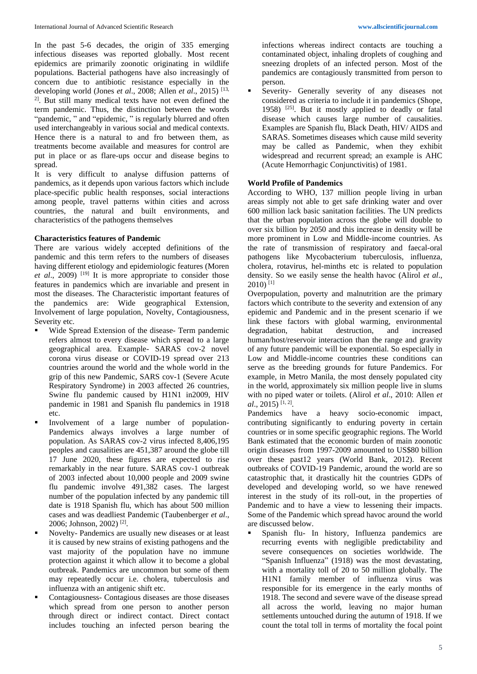In the past 5-6 decades, the origin of 335 emerging infectious diseases was reported globally. Most recent epidemics are primarily zoonotic originating in wildlife populations. Bacterial pathogens have also increasingly of concern due to antibiotic resistance especially in the developing world (Jones *et al*., 2008; Allen *et al*., 2015) [13, 2]. But still many medical texts have not even defined the term pandemic. Thus, the distinction between the words "pandemic, " and "epidemic, " is regularly blurred and often used interchangeably in various social and medical contexts. Hence there is a natural to and fro between them, as treatments become available and measures for control are put in place or as flare-ups occur and disease begins to spread.

It is very difficult to analyse diffusion patterns of pandemics, as it depends upon various factors which include place-specific public health responses, social interactions among people, travel patterns within cities and across countries, the natural and built environments, and characteristics of the pathogens themselves

# **Characteristics features of Pandemic**

There are various widely accepted definitions of the pandemic and this term refers to the numbers of diseases having different etiology and epidemiologic features (Moren *et al*., 2009) [19] It is more appropriate to consider those features in pandemics which are invariable and present in most the diseases. The Characteristic important features of the pandemics are: Wide geographical Extension, Involvement of large population, Novelty, Contagiousness, Severity etc.

- Wide Spread Extension of the disease- Term pandemic refers almost to every disease which spread to a large geographical area. Example- SARAS cov-2 novel corona virus disease or COVID-19 spread over 213 countries around the world and the whole world in the grip of this new Pandemic, SARS cov-1 (Severe Acute Respiratory Syndrome) in 2003 affected 26 countries, Swine flu pandemic caused by H1N1 in2009, HIV pandemic in 1981 and Spanish flu pandemics in 1918 etc.
- Involvement of a large number of population-Pandemics always involves a large number of population. As SARAS cov-2 virus infected 8,406,195 peoples and causalities are 451,387 around the globe till 17 June 2020, these figures are expected to rise remarkably in the near future. SARAS cov-1 outbreak of 2003 infected about 10,000 people and 2009 swine flu pandemic involve 491,382 cases. The largest number of the population infected by any pandemic till date is 1918 Spanish flu, which has about 500 million cases and was deadliest Pandemic (Taubenberger *et al*., 2006; Johnson, 2002) [2] .
- Novelty- Pandemics are usually new diseases or at least it is caused by new strains of existing pathogens and the vast majority of the population have no immune protection against it which allow it to become a global outbreak. Pandemics are uncommon but some of them may repeatedly occur i.e. cholera, tuberculosis and influenza with an antigenic shift etc.
- Contagiousness- Contagious diseases are those diseases which spread from one person to another person through direct or indirect contact. Direct contact includes touching an infected person bearing the

infections whereas indirect contacts are touching a contaminated object, inhaling droplets of coughing and sneezing droplets of an infected person. Most of the pandemics are contagiously transmitted from person to person.

Severity- Generally severity of any diseases not considered as criteria to include it in pandemics (Shope, 1958) [25]. But it mostly applied to deadly or fatal disease which causes large number of causalities. Examples are Spanish flu, Black Death, HIV/ AIDS and SARAS. Sometimes diseases which cause mild severity may be called as Pandemic, when they exhibit widespread and recurrent spread; an example is AHC (Acute Hemorrhagic Conjunctivitis) of 1981.

# **World Profile of Pandemics**

According to WHO, 137 million people living in urban areas simply not able to get safe drinking water and over 600 million lack basic sanitation facilities. The UN predicts that the urban population across the globe will double to over six billion by 2050 and this increase in density will be more prominent in Low and Middle-income countries. As the rate of transmission of respiratory and faecal-oral pathogens like Mycobacterium tuberculosis, influenza, cholera, rotavirus, hel-minths etc is related to population density. So we easily sense the health havoc (Alirol *et al*.,  $2010$ ) <sup>[1]</sup>

Overpopulation, poverty and malnutrition are the primary factors which contribute to the severity and extension of any epidemic and Pandemic and in the present scenario if we link these factors with global warming, environmental degradation, habitat destruction, and increased human/host/reservoir interaction than the range and gravity of any future pandemic will be exponential. So especially in Low and Middle-income countries these conditions can serve as the breeding grounds for future Pandemics. For example, in Metro Manila, the most densely populated city in the world, approximately six million people live in slums with no piped water or toilets. (Alirol *et al*., 2010: Allen *et al*., 2015) [1, 2] .

Pandemics have a heavy socio-economic impact, contributing significantly to enduring poverty in certain countries or in some specific geographic regions. The World Bank estimated that the economic burden of main zoonotic origin diseases from 1997-2009 amounted to US\$80 billion over these past12 years (World Bank, 2012). Recent outbreaks of COVID-19 Pandemic, around the world are so catastrophic that, it drastically hit the countries GDPs of developed and developing world, so we have renewed interest in the study of its roll-out, in the properties of Pandemic and to have a view to lessening their impacts. Some of the Pandemic which spread havoc around the world are discussed below.

Spanish flu- In history, Influenza pandemics are recurring events with negligible predictability and severe consequences on societies worldwide. The "Spanish Influenza" (1918) was the most devastating, with a mortality toll of 20 to 50 million globally. The H1N1 family member of influenza virus was responsible for its emergence in the early months of 1918. The second and severe wave of the disease spread all across the world, leaving no major human settlements untouched during the autumn of 1918. If we count the total toll in terms of mortality the focal point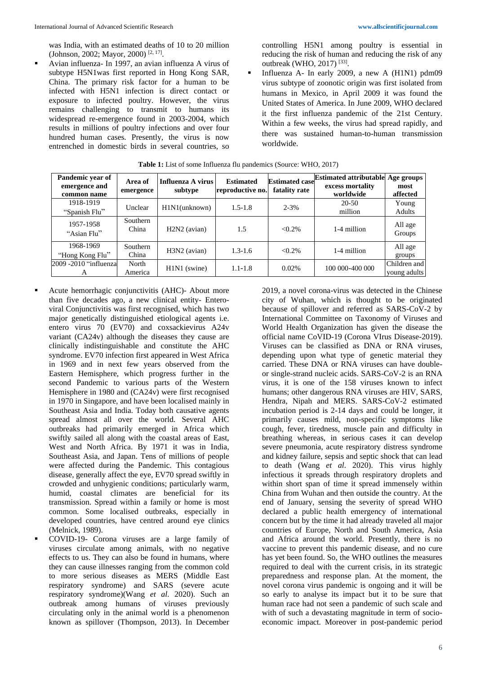was India, with an estimated deaths of 10 to 20 million (Johnson, 2002; Mayor, 2000)<sup>[2, 17]</sup>.

Avian influenza- In 1997, an avian influenza A virus of subtype H5N1was first reported in Hong Kong SAR, China. The primary risk factor for a human to be infected with H5N1 infection is direct contact or exposure to infected poultry. However, the virus remains challenging to transmit to humans its widespread re-emergence found in 2003-2004, which results in millions of poultry infections and over four hundred human cases. Presently, the virus is now entrenched in domestic birds in several countries, so

controlling H5N1 among poultry is essential in reducing the risk of human and reducing the risk of any outbreak (WHO, 2017)<sup>[33]</sup>.

Influenza A- In early 2009, a new A  $(H1N1)$  pdm09 virus subtype of zoonotic origin was first isolated from humans in Mexico, in April 2009 it was found the United States of America. In June 2009, WHO declared it the first influenza pandemic of the 21st Century. Within a few weeks, the virus had spread rapidly, and there was sustained human-to-human transmission worldwide.

| Pandemic year of<br>emergence and<br>common name | Area of<br>emergence | Influenza A virus<br>subtype | <b>Estimated</b><br>reproductive no. | <b>Estimated case</b><br>fatality rate | <b>Estimated attributable</b><br>excess mortality<br>worldwide | Age groups<br>most<br>affected |
|--------------------------------------------------|----------------------|------------------------------|--------------------------------------|----------------------------------------|----------------------------------------------------------------|--------------------------------|
| 1918-1919<br>"Spanish Flu"                       | Unclear              | $H1N1$ (unknown)             | $1.5 - 1.8$                          | $2 - 3\%$                              | $20 - 50$<br>million                                           | Young<br>Adults                |
| 1957-1958<br>"Asian Flu"                         | Southern<br>China    | $H2N2$ (avian)               | 1.5                                  | $< 0.2\%$                              | 1-4 million                                                    | All age<br>Groups              |
| 1968-1969<br>"Hong Kong Flu"                     | Southern<br>China    | H3N2 (avian)                 | $1.3 - 1.6$                          | $< 0.2\%$                              | 1-4 million                                                    | All age<br>groups              |
| 2009 -2010 "influenzal<br>А                      | North<br>America     | H1N1 (swine)                 | $1.1 - 1.8$                          | 0.02%                                  | 100 000-400 000                                                | Children and<br>young adults   |

| <b>Table 1:</b> List of some Influenza flu pandemics (Source: WHO, 2017) |
|--------------------------------------------------------------------------|
|--------------------------------------------------------------------------|

- Acute hemorrhagic conjunctivitis (AHC)- About more than five decades ago, a new clinical entity- Enteroviral Conjunctivitis was first recognised, which has two major genetically distinguished etiological agents i.e. entero virus 70 (EV70) and coxsackievirus A24v variant (CA24v) although the diseases they cause are clinically indistinguishable and constitute the AHC syndrome. EV70 infection first appeared in West Africa in 1969 and in next few years observed from the Eastern Hemisphere, which progress further in the second Pandemic to various parts of the Western Hemisphere in 1980 and (CA24v) were first recognised in 1970 in Singapore, and have been localised mainly in Southeast Asia and India. Today both causative agents spread almost all over the world. Several AHC outbreaks had primarily emerged in Africa which swiftly sailed all along with the coastal areas of East, West and North Africa. By 1971 it was in India, Southeast Asia, and Japan. Tens of millions of people were affected during the Pandemic. This contagious disease, generally affect the eye, EV70 spread swiftly in crowded and unhygienic conditions; particularly warm, humid, coastal climates are beneficial for its transmission. Spread within a family or home is most common. Some localised outbreaks, especially in developed countries, have centred around eye clinics (Melnick, 1989).
	- COVID-19- Corona viruses are a large family of viruses circulate among animals, with no negative effects to us. They can also be found in humans, where they can cause illnesses ranging from the common cold to more serious diseases as MERS (Middle East respiratory syndrome) and SARS (severe acute respiratory syndrome)(Wang *et al*. 2020). Such an outbreak among humans of viruses previously circulating only in the animal world is a phenomenon known as spillover (Thompson, 2013). In December

2019, a novel corona-virus was detected in the Chinese city of Wuhan, which is thought to be originated because of spillover and referred as SARS-CoV-2 by International Committee on Taxonomy of Viruses and World Health Organization has given the disease the official name CoVID-19 (Corona VIrus Disease-2019). Viruses can be classified as DNA or RNA viruses, depending upon what type of genetic material they carried. These DNA or RNA viruses can have doubleor single-strand nucleic acids. SARS-CoV-2 is an RNA virus, it is one of the 158 viruses known to infect humans; other dangerous RNA viruses are HIV, SARS, Hendra, Nipah and MERS. SARS-CoV-2 estimated incubation period is 2-14 days and could be longer, it primarily causes mild, non-specific symptoms like cough, fever, tiredness, muscle pain and difficulty in breathing whereas, in serious cases it can develop severe pneumonia, acute respiratory distress syndrome and kidney failure, sepsis and septic shock that can lead to death (Wang *et al*. 2020). This virus highly infectious it spreads through respiratory droplets and within short span of time it spread immensely within China from Wuhan and then outside the country. At the end of January, sensing the severity of spread WHO declared a public health emergency of international concern but by the time it had already traveled all major countries of Europe, North and South America, Asia and Africa around the world. Presently, there is no vaccine to prevent this pandemic disease, and no cure has yet been found. So, the WHO outlines the measures required to deal with the current crisis, in its strategic preparedness and response plan. At the moment, the novel corona virus pandemic is ongoing and it will be so early to analyse its impact but it to be sure that human race had not seen a pandemic of such scale and with of such a devastating magnitude in term of socioeconomic impact. Moreover in post-pandemic period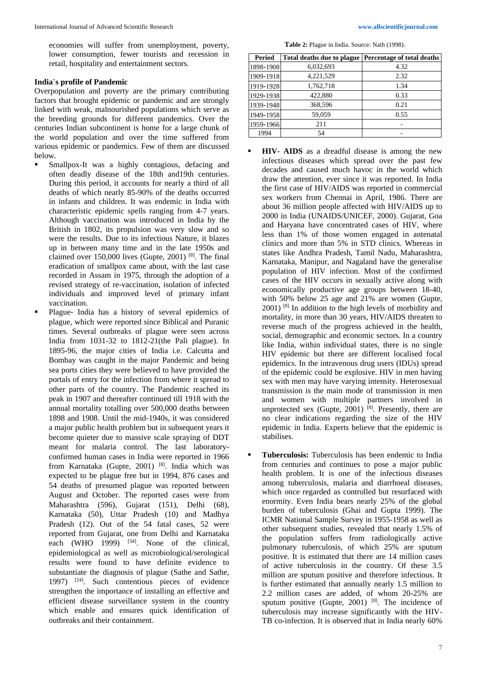economies will suffer from unemployment, poverty, lower consumption, fewer tourists and recession in retail, hospitality and entertainment sectors.

#### **India**'**s profile of Pandemic**

Overpopulation and poverty are the primary contributing factors that brought epidemic or pandemic and are strongly linked with weak, malnourished populations which serve as the breeding grounds for different pandemics. Over the centuries Indian subcontinent is home for a large chunk of the world population and over the time suffered from various epidemic or pandemics. Few of them are discussed below.

- Smallpox-It was a highly contagious, defacing and often deadly disease of the 18th and19th centuries. During this period, it accounts for nearly a third of all deaths of which nearly 85-90% of the deaths occurred in infants and children. It was endemic in India with characteristic epidemic spells ranging from 4-7 years. Although vaccination was introduced in India by the British in 1802, its propulsion was very slow and so were the results. Due to its infectious Nature, it blazes up in between many time and in the late 1950s and claimed over 150,000 lives (Gupte, 2001) [8]. The final eradication of smallpox came about, with the last case recorded in Assam in 1975, through the adoption of a revised strategy of re-vaccination, isolation of infected individuals and improved level of primary infant vaccination.
- Plague- India has a history of several epidemics of plague, which were reported since Biblical and Puranic times. Several outbreaks of plague were seen across India from 1031-32 to 1812-21(the Pali plague). In 1895-96, the major cities of India i.e. Calcutta and Bombay was caught in the major Pandemic and being sea ports cities they were believed to have provided the portals of entry for the infection from where it spread to other parts of the country. The Pandemic reached its peak in 1907 and thereafter continued till 1918 with the annual mortality totalling over 500,000 deaths between 1898 and 1908. Until the mid-1940s, it was considered a major public health problem but in subsequent years it become quieter due to massive scale spraying of DDT meant for malaria control. The last laboratoryconfirmed human cases in India were reported in 1966 from Karnataka (Gupte, 2001) [8]. India which was expected to be plague free but in 1994, 876 cases and 54 deaths of presumed plague was reported between August and October. The reported cases were from Maharashtra (596), Gujarat (151), Delhi (68), Karnataka (50), Uttar Pradesh (10) and Madhya Pradesh (12). Out of the 54 fatal cases, 52 were reported from Gujarat, one from Delhi and Karnataka each (WHO 1999)  $[34]$ . None of the clinical, epidemiological as well as microbiological/serological results were found to have definite evidence to substantiate the diagnosis of plague (Sathe and Sathe, 1997) [24]. Such contentious pieces of evidence strengthen the importance of installing an effective and efficient disease surveillance system in the country which enable and ensures quick identification of outbreaks and their containment.

**Table 2:** Plague in India. Source: Nath (1998).

| Period    | Total deaths due to plague | Percentage of total deaths |
|-----------|----------------------------|----------------------------|
| 1898-1908 | 6,032,693                  | 4.32                       |
| 1909-1918 | 4,221,529                  | 2.32                       |
| 1919-1928 | 1,762,718                  | 1.34                       |
| 1929-1938 | 422,880                    | 0.33                       |
| 1939-1948 | 368,596                    | 0.21                       |
| 1949-1958 | 59,059                     | 0.55                       |
| 1959-1966 | 211                        |                            |
| 1994      | 54                         |                            |

- **HIV-** AIDS as a dreadful disease is among the new infectious diseases which spread over the past few decades and caused much havoc in the world which draw the attention, ever since it was reported. In India the first case of HIV/AIDS was reported in commercial sex workers from Chennai in April, 1986. There are about 36 million people affected with HIV/AIDS up to 2000 in India (UNAIDS/UNICEF, 2000). Gujarat, Goa and Haryana have concentrated cases of HIV, where less than 1% of those women engaged in antenatal clinics and more than 5% in STD clinics. Whereas in states like Andhra Pradesh, Tamil Nadu, Maharashtra, Karnataka, Manipur, and Nagaland have the generalise population of HIV infection. Most of the confirmed cases of the HIV occurs in sexually active along with economically productive age groups between 18-40, with 50% below 25 age and 21% are women (Gupte,  $2001$ ) <sup>[8]</sup> In addition to the high levels of morbidity and mortality, in more than 30 years, HIV/AIDS threaten to reverse much of the progress achieved in the health, social, demographic and economic sectors. In a country like India, within individual states, there is no single HIV epidemic but there are different localised focal epidemics. In the intravenous drug users (IDUs) spread of the epidemic could be explosive. HIV in men having sex with men may have varying intensity. Heterosexual transmission is the main mode of transmission in men and women with multiple partners involved in unprotected sex (Gupte, 2001)  $[8]$ . Presently, there are no clear indications regarding the size of the HIV epidemic in India. Experts believe that the epidemic is stabilises.
- **Tuberculosis:** Tuberculosis has been endemic to India from centuries and continues to pose a major public health problem. It is one of the infectious diseases among tuberculosis, malaria and diarrhoeal diseases, which once regarded as controlled but resurfaced with enormity. Even India bears nearly 25% of the global burden of tuberculosis (Ghai and Gupta 1999). The ICMR National Sample Survey in 1955-1958 as well as other subsequent studies, revealed that nearly 1.5% of the population suffers from radiologically active pulmonary tuberculosis, of which 25% are sputum positive. It is estimated that there are 14 million cases of active tuberculosis in the country. Of these 3.5 million are sputum positive and therefore infectious. It is further estimated that annually nearly 1.5 million to 2.2 million cases are added, of whom 20-25% are sputum positive (Gupte,  $2001$ )<sup>[8]</sup>. The incidence of tuberculosis may increase significantly with the HIV-TB co-infection. It is observed that in India nearly 60%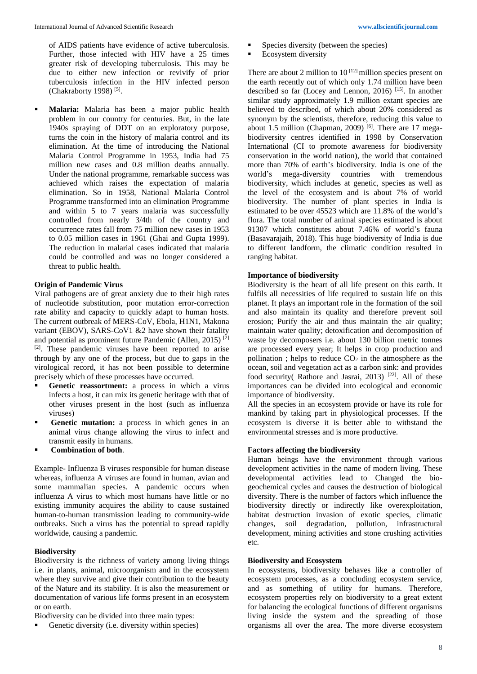of AIDS patients have evidence of active tuberculosis. Further, those infected with HIV have a 25 times greater risk of developing tuberculosis. This may be due to either new infection or revivify of prior tuberculosis infection in the HIV infected person (Chakraborty 1998)<sup>[5]</sup>.

Malaria: Malaria has been a major public health problem in our country for centuries. But, in the late 1940s spraying of DDT on an exploratory purpose, turns the coin in the history of malaria control and its elimination. At the time of introducing the National Malaria Control Programme in 1953, India had 75 million new cases and 0.8 million deaths annually. Under the national programme, remarkable success was achieved which raises the expectation of malaria elimination. So in 1958, National Malaria Control Programme transformed into an elimination Programme and within 5 to 7 years malaria was successfully controlled from nearly 3/4th of the country and occurrence rates fall from 75 million new cases in 1953 to 0.05 million cases in 1961 (Ghai and Gupta 1999). The reduction in malarial cases indicated that malaria could be controlled and was no longer considered a threat to public health.

### **Origin of Pandemic Virus**

Viral pathogens are of great anxiety due to their high rates of nucleotide substitution, poor mutation error-correction rate ability and capacity to quickly adapt to human hosts. The current outbreak of MERS-CoV, Ebola, H1N1, Makona variant (EBOV), SARS-CoV1 &2 have shown their fatality and potential as prominent future Pandemic (Allen, 2015) [2] [2]. These pandemic viruses have been reported to arise through by any one of the process, but due to gaps in the virological record, it has not been possible to determine precisely which of these processes have occurred.

- Genetic reassortment: a process in which a virus infects a host, it can mix its genetic heritage with that of other viruses present in the host (such as influenza viruses)
- Genetic mutation: a process in which genes in an animal virus change allowing the virus to infect and transmit easily in humans.
- **Combination of both.**

Example- Influenza B viruses responsible for human disease whereas, influenza A viruses are found in human, avian and some mammalian species. A pandemic occurs when influenza A virus to which most humans have little or no existing immunity acquires the ability to cause sustained human-to-human transmission leading to community-wide outbreaks. Such a virus has the potential to spread rapidly worldwide, causing a pandemic.

#### **Biodiversity**

Biodiversity is the richness of variety among living things i.e. in plants, animal, microorganism and in the ecosystem where they survive and give their contribution to the beauty of the Nature and its stability. It is also the measurement or documentation of various life forms present in an ecosystem or on earth.

Biodiversity can be divided into three main types:

Genetic diversity (i.e. diversity within species)

- Species diversity (between the species)
- Ecosystem diversity

There are about 2 million to  $10^{[12]}$  million species present on the earth recently out of which only 1.74 million have been described so far (Locey and Lennon, 2016) [15]. In another similar study approximately 1.9 million extant species are believed to described, of which about 20% considered as synonym by the scientists, therefore, reducing this value to about 1.5 million (Chapman, 2009) <sup>[6]</sup>. There are 17 megabiodiversity centres identified in 1998 by Conservation International (CI to promote awareness for biodiversity conservation in the world nation), the world that contained more than 70% of earth's biodiversity. India is one of the world's mega-diversity countries with tremendous biodiversity, which includes at genetic, species as well as the level of the ecosystem and is about 7% of world biodiversity. The number of plant species in India is estimated to be over 45523 which are 11.8% of the world's flora. The total number of animal species estimated is about 91307 which constitutes about 7.46% of world's fauna (Basavarajaih, 2018). This huge biodiversity of India is due to different landform, the climatic condition resulted in ranging habitat.

### **Importance of biodiversity**

Biodiversity is the heart of all life present on this earth. It fulfils all necessities of life required to sustain life on this planet. It plays an important role in the formation of the soil and also maintain its quality and therefore prevent soil erosion; Purify the air and thus maintain the air quality; maintain water quality; detoxification and decomposition of waste by decomposers i.e. about 130 billion metric tonnes are processed every year; It helps in crop production and pollination ; helps to reduce  $CO<sub>2</sub>$  in the atmosphere as the ocean, soil and vegetation act as a carbon sink: and provides food security( Rathore and Jasrai, 2013)<sup>[22]</sup>. All of these importances can be divided into ecological and economic importance of biodiversity.

All the species in an ecosystem provide or have its role for mankind by taking part in physiological processes. If the ecosystem is diverse it is better able to withstand the environmental stresses and is more productive.

# **Factors affecting the biodiversity**

Human beings have the environment through various development activities in the name of modern living. These developmental activities lead to Changed the biogeochemical cycles and causes the destruction of biological diversity. There is the number of factors which influence the biodiversity directly or indirectly like overexploitation, habitat destruction invasion of exotic species, climatic changes, soil degradation, pollution, infrastructural development, mining activities and stone crushing activities etc.

#### **Biodiversity and Ecosystem**

In ecosystems, biodiversity behaves like a controller of ecosystem processes, as a concluding ecosystem service, and as something of utility for humans. Therefore, ecosystem properties rely on biodiversity to a great extent for balancing the ecological functions of different organisms living inside the system and the spreading of those organisms all over the area. The more diverse ecosystem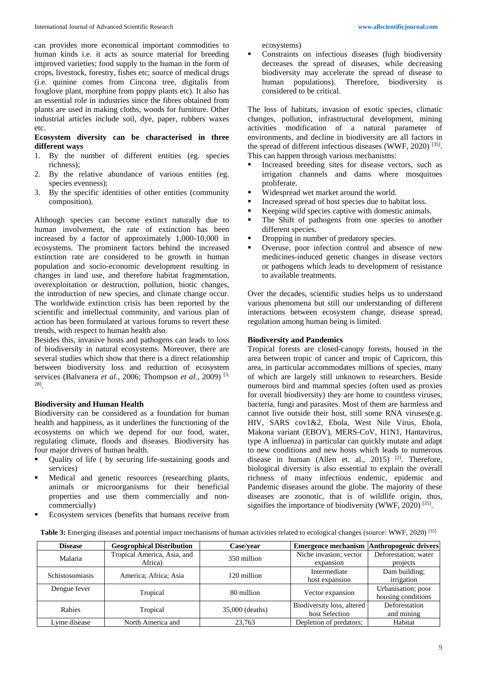can provides more economical important commodities to human kinds i.e. it acts as source material for breeding improved varieties; food supply to the human in the form of crops, livestock, forestry, fishes etc; source of medical drugs (i.e. quinine comes from Cincona tree, digitalis from foxglove plant, morphine from poppy plants etc). It also has an essential role in industries since the fibres obtained from plants are used in making cloths, woods for furniture. Other industrial articles include soil, dye, paper, rubbers waxes etc.

### **Ecosystem diversity can be characterised in three different ways**

- 1. By the number of different entities (eg. species richness);
- 2. By the relative abundance of various entities (eg. species evenness);
- 3. By the specific identities of other entities (community composition).

Although species can become extinct naturally due to human involvement, the rate of extinction has been increased by a factor of approximately 1,000-10,000 in ecosystems. The prominent factors behind the increased extinction rate are considered to be growth in human population and socio-economic development resulting in changes in land use, and therefore habitat fragmentation, overexploitation or destruction, pollution, biotic changes, the introduction of new species, and climate change occur. The worldwide extinction crisis has been reported by the scientific and intellectual community, and various plan of action has been formulated at various forums to revert these trends, with respect to human health also.

Besides this, invasive hosts and pathogens can leads to loss of biodiversity in natural ecosystems. Moreover, there are several studies which show that there is a direct relationship between biodiversity loss and reduction of ecosystem services (Balvanera *et al*., 2006; Thompson *et al.*, 2009) [3, 28] .

#### **Biodiversity and Human Health**

Biodiversity can be considered as a foundation for human health and happiness, as it underlines the functioning of the ecosystems on which we depend for our food, water, regulating climate, floods and diseases. Biodiversity has four major drivers of human health.

- Quality of life ( by securing life-sustaining goods and services)
- Medical and genetic resources (researching plants, animals or microorganisms for their beneficial properties and use them commercially and noncommercially)
- Ecosystem services (benefits that humans receive from

ecosystems)

Constraints on infectious diseases (high biodiversity decreases the spread of diseases, while decreasing biodiversity may accelerate the spread of disease to human populations). Therefore, biodiversity is considered to be critical.

The loss of habitats, invasion of exotic species, climatic changes, pollution, infrastructural development, mining activities modification of a natural parameter of environments, and decline in biodiversity are all factors in the spread of different infectious diseases (WWF, 2020)<sup>[35]</sup>. This can happen through various mechanisms:

- Increased breeding sites for disease vectors, such as irrigation channels and dams where mosquitoes proliferate.
- Widespread wet market around the world.
- Increased spread of host species due to habitat loss.
- Keeping wild species captive with domestic animals.
- The Shift of pathogens from one species to another different species.
- Dropping in number of predatory species.
- Overuse, poor infection control and absence of new medicines-induced genetic changes in disease vectors or pathogens which leads to development of resistance to available treatments.

Over the decades, scientific studies helps us to understand various phenomena but still our understanding of different interactions between ecosystem change, disease spread, regulation among human being is limited.

### **Biodiversity and Pandemics**

Tropical forests are closed-canopy forests, housed in the area between tropic of cancer and tropic of Capricorn, this area, in particular accommodates millions of species, many of which are largely still unknown to researchers. Beside numerous bird and mammal species (often used as proxies for overall biodiversity) they are home to countless viruses, bacteria, fungi and parasites. Most of them are harmless and cannot live outside their host, still some RNA viruses(e.g. HIV, SARS cov1&2, Ebola, West Nile Virus, Ebola, Makona variant (EBOV), MERS-CoV, H1N1, Hantavirus, type A influenza) in particular can quickly mutate and adapt to new conditions and new hosts which leads to numerous disease in human (Allen et. al., 2015)  $[2]$ . Therefore, biological diversity is also essential to explain the overall richness of many infectious endemic, epidemic and Pandemic diseases around the globe. The majority of these diseases are zoonotic, that is of wildlife origin, thus, signifies the importance of biodiversity (WWF, 2020)<sup>[35]</sup>.

**Table 3:** Emerging diseases and potential impact mechanisms of human activities related to ecological changes (source: WWF, 2020) [35]

| <b>Disease</b>         | <b>Geogrophical Distribution</b> | Case/vear       | <b>Emergence mechanism</b> | Anthropogenic drivers |
|------------------------|----------------------------------|-----------------|----------------------------|-----------------------|
| Malaria                | Tropical America, Asia, and      | 350 million     | Niche invasion; vector     | Deforestation; water  |
|                        | Africa)                          |                 | expansion                  | projects              |
| <b>Schistosomiasis</b> | America; Africa; Asia            | 120 million     | Intermediate               | Dam building:         |
|                        |                                  |                 | host expansion             | irrigation            |
| Dengue fever           | Tropical                         | 80 million      | Vector expansion           | Urbanisation; poor    |
|                        |                                  |                 |                            | housing conditions    |
| Rabies                 | Tropical                         | 35,000 (deaths) | Biodiversity loss, altered | Deforestation         |
|                        |                                  |                 | host Selection             | and mining            |
| Lyme disease           | North America and                | 23,763          | Depletion of predators;    | Habitat               |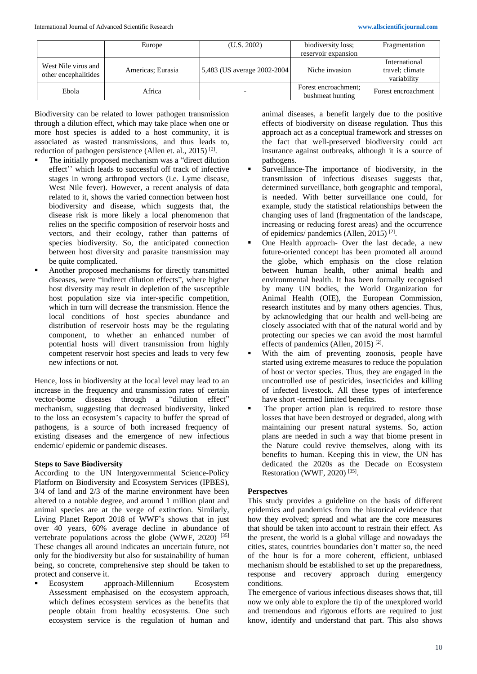|                                             | Europe            | (U.S. 2002)                  | biodiversity loss;                       | Fragmentation                                   |
|---------------------------------------------|-------------------|------------------------------|------------------------------------------|-------------------------------------------------|
|                                             |                   |                              | reservoir expansion                      |                                                 |
| West Nile virus and<br>other encephalitides | Americas; Eurasia | 5,483 (US average 2002-2004) | Niche invasion                           | International<br>travel; climate<br>variability |
| Ebola                                       | Africa            |                              | Forest encroachment:<br>bushmeat hunting | Forest encroachment                             |

Biodiversity can be related to lower pathogen transmission through a dilution effect, which may take place when one or more host species is added to a host community, it is associated as wasted transmissions, and thus leads to, reduction of pathogen persistence (Allen et. al., 2015)<sup>[2]</sup>.

- The initially proposed mechanism was a "direct dilution" effect'' which leads to successful off track of infective stages in wrong arthropod vectors (i.e. Lyme disease, West Nile fever). However, a recent analysis of data related to it, shows the varied connection between host biodiversity and disease, which suggests that, the disease risk is more likely a local phenomenon that relies on the specific composition of reservoir hosts and vectors, and their ecology, rather than patterns of species biodiversity. So, the anticipated connection between host diversity and parasite transmission may be quite complicated.
- Another proposed mechanisms for directly transmitted diseases, were "indirect dilution effects", where higher host diversity may result in depletion of the susceptible host population size via inter-specific competition, which in turn will decrease the transmission. Hence the local conditions of host species abundance and distribution of reservoir hosts may be the regulating component, to whether an enhanced number of potential hosts will divert transmission from highly competent reservoir host species and leads to very few new infections or not.

Hence, loss in biodiversity at the local level may lead to an increase in the frequency and transmission rates of certain vector-borne diseases through a "dilution effect" mechanism, suggesting that decreased biodiversity, linked to the loss an ecosystem's capacity to buffer the spread of pathogens, is a source of both increased frequency of existing diseases and the emergence of new infectious endemic/ epidemic or pandemic diseases.

# **Steps to Save Biodiversity**

According to the UN Intergovernmental Science-Policy Platform on Biodiversity and Ecosystem Services (IPBES), 3/4 of land and 2/3 of the marine environment have been altered to a notable degree, and around 1 million plant and animal species are at the verge of extinction. Similarly, Living Planet Report 2018 of WWF's shows that in just over 40 years, 60% average decline in abundance of vertebrate populations across the globe (WWF, 2020) [35] These changes all around indicates an uncertain future, not only for the biodiversity but also for sustainability of human being, so concrete, comprehensive step should be taken to protect and conserve it.

Ecosystem approach-Millennium Ecosystem Assessment emphasised on the ecosystem approach, which defines ecosystem services as the benefits that people obtain from healthy ecosystems. One such ecosystem service is the regulation of human and

animal diseases, a benefit largely due to the positive effects of biodiversity on disease regulation. Thus this approach act as a conceptual framework and stresses on the fact that well-preserved biodiversity could act insurance against outbreaks, although it is a source of pathogens.

- Surveillance-The importance of biodiversity, in the transmission of infectious diseases suggests that, determined surveillance, both geographic and temporal, is needed. With better surveillance one could, for example, study the statistical relationships between the changing uses of land (fragmentation of the landscape, increasing or reducing forest areas) and the occurrence of epidemics/ pandemics (Allen, 2015)<sup>[2]</sup>.
- One Health approach- Over the last decade, a new future-oriented concept has been promoted all around the globe, which emphasis on the close relation between human health, other animal health and environmental health. It has been formally recognised by many UN bodies, the World Organization for Animal Health (OIE), the European Commission, research institutes and by many others agencies. Thus, by acknowledging that our health and well-being are closely associated with that of the natural world and by protecting our species we can avoid the most harmful effects of pandemics (Allen, 2015)<sup>[2]</sup>.
- With the aim of preventing zoonosis, people have started using extreme measures to reduce the population of host or vector species. Thus, they are engaged in the uncontrolled use of pesticides, insecticides and killing of infected livestock. All these types of interference have short -termed limited benefits.
- The proper action plan is required to restore those losses that have been destroyed or degraded, along with maintaining our present natural systems. So, action plans are needed in such a way that biome present in the Nature could revive themselves, along with its benefits to human. Keeping this in view, the UN has dedicated the 2020s as the Decade on Ecosystem Restoration (WWF, 2020)<sup>[35]</sup>.

# **Perspectves**

This study provides a guideline on the basis of different epidemics and pandemics from the historical evidence that how they evolved; spread and what are the core measures that should be taken into account to restrain their effect. As the present, the world is a global village and nowadays the cities, states, countries boundaries don't matter so, the need of the hour is for a more coherent, efficient, unbiased mechanism should be established to set up the preparedness, response and recovery approach during emergency conditions.

The emergence of various infectious diseases shows that, till now we only able to explore the tip of the unexplored world and tremendous and rigorous efforts are required to just know, identify and understand that part. This also shows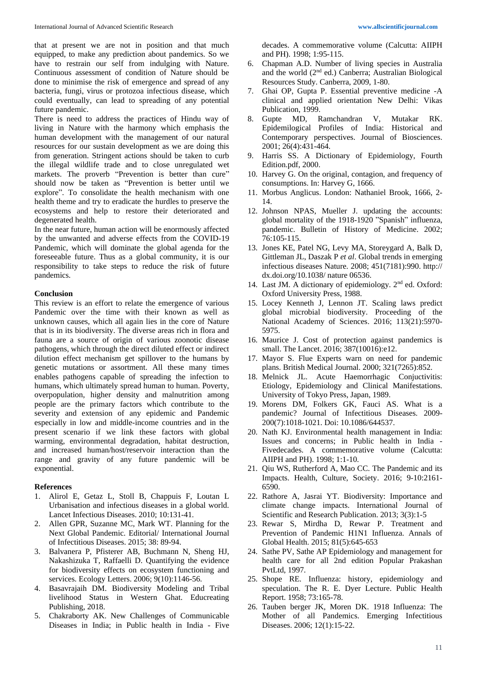that at present we are not in position and that much equipped, to make any prediction about pandemics. So we have to restrain our self from indulging with Nature. Continuous assessment of condition of Nature should be done to minimise the risk of emergence and spread of any bacteria, fungi, virus or protozoa infectious disease, which could eventually, can lead to spreading of any potential future pandemic.

There is need to address the practices of Hindu way of living in Nature with the harmony which emphasis the human development with the management of our natural resources for our sustain development as we are doing this from generation. Stringent actions should be taken to curb the illegal wildlife trade and to close unregulated wet markets. The proverb "Prevention is better than cure" should now be taken as "Prevention is better until we explore". To consolidate the health mechanism with one health theme and try to eradicate the hurdles to preserve the ecosystems and help to restore their deteriorated and degenerated health.

In the near future, human action will be enormously affected by the unwanted and adverse effects from the COVID-19 Pandemic, which will dominate the global agenda for the foreseeable future. Thus as a global community, it is our responsibility to take steps to reduce the risk of future pandemics.

#### **Conclusion**

This review is an effort to relate the emergence of various Pandemic over the time with their known as well as unknown causes, which all again lies in the core of Nature that is in its biodiversity. The diverse areas rich in flora and fauna are a source of origin of various zoonotic disease pathogens, which through the direct diluted effect or indirect dilution effect mechanism get spillover to the humans by genetic mutations or assortment. All these many times enables pathogens capable of spreading the infection to humans, which ultimately spread human to human. Poverty, overpopulation, higher density and malnutrition among people are the primary factors which contribute to the severity and extension of any epidemic and Pandemic especially in low and middle-income countries and in the present scenario if we link these factors with global warming, environmental degradation, habitat destruction, and increased human/host/reservoir interaction than the range and gravity of any future pandemic will be exponential.

#### **References**

- 1. Alirol E, Getaz L, Stoll B, Chappuis F, Loutan L Urbanisation and infectious diseases in a global world. Lancet Infectious Diseases. 2010; 10:131-41.
- 2. Allen GPR, Suzanne MC, Mark WT. Planning for the Next Global Pandemic. Editorial/ International Journal of Infectitious Diseases. 2015; 38: 89-94.
- 3. Balvanera P, Pfisterer AB, Buchmann N, Sheng HJ, Nakashizuka T, Raffaelli D. Quantifying the evidence for biodiversity effects on ecosystem functioning and services. Ecology Letters. 2006; 9(10):1146-56.
- 4. Basavrajaih DM. Biodiversity Modeling and Tribal livelihood Status in Western Ghat. Educreating Publishing, 2018.
- 5. Chakraborty AK. New Challenges of Communicable Diseases in India; in Public health in India - Five

decades. A commemorative volume (Calcutta: AIIPH and PH). 1998; 1:95-115.

- 6. Chapman A.D. Number of living species in Australia and the world (2nd ed.) Canberra; Australian Biological Resources Study. Canberra, 2009, 1-80.
- 7. Ghai OP, Gupta P. Essential preventive medicine -A clinical and applied orientation New Delhi: Vikas Publication, 1999.
- 8. Gupte MD, Ramchandran V, Mutakar RK. Epidemilogical Profiles of India: Historical and Contemporary perspectives. Journal of Biosciences. 2001; 26(4):431-464.
- 9. Harris SS. A Dictionary of Epidemiology, Fourth Edition.pdf, 2000.
- 10. Harvey G. On the original, contagion, and frequency of consumptions. In: Harvey G, 1666.
- 11. Morbus Anglicus. London: Nathaniel Brook, 1666, 2- 14.
- 12. Johnson NPAS, Mueller J. updating the accounts: global mortality of the 1918-1920 "Spanish" influenza, pandemic. Bulletin of History of Medicine. 2002; 76:105-115.
- 13. Jones KE, Patel NG, Levy MA, Storeygard A, Balk D, Gittleman JL, Daszak P *et al*. Global trends in emerging infectious diseases Nature. 2008; 451(7181):990. http:// dx.doi.org/10.1038/ nature 06536.
- 14. Last JM. A dictionary of epidemiology. 2nd ed. Oxford: Oxford University Press, 1988.
- 15. Locey Kenneth J, Lennon JT. Scaling laws predict global microbial biodiversity. Proceeding of the National Academy of Sciences. 2016; 113(21):5970- 5975.
- 16. Maurice J. Cost of protection against pandemics is small. The Lancet. 2016; 387(10016):e12.
- 17. Mayor S. Flue Experts warn on need for pandemic plans. British Medical Journal. 2000; 321(7265):852.
- 18. Melnick JL. Acute Haemorrhagic Conjuctivitis: Etiology, Epidemiology and Clinical Manifestations. University of Tokyo Press, Japan, 1989.
- 19. Morens DM, Folkers GK, Fauci AS. What is a pandemic? Journal of Infectitious Diseases. 2009- 200(7):1018-1021. Doi: 10.1086/644537.
- 20. Nath KJ. Environmental health management in India: Issues and concerns; in Public health in India - Fivedecades. A commemorative volume (Calcutta: AIIPH and PH). 1998; 1:1-10.
- 21. Qiu WS, Rutherford A, Mao CC. The Pandemic and its Impacts. Health, Culture, Society. 2016; 9-10:2161- 6590.
- 22. Rathore A, Jasrai YT. Biodiversity: Importance and climate change impacts. International Journal of Scientific and Research Publication. 2013; 3(3):1-5
- 23. Rewar S, Mirdha D, Rewar P. Treatment and Prevention of Pandemic H1N1 Influenza. Annals of Global Health. 2015; 81(5):645-653
- 24. Sathe PV, Sathe AP Epidemiology and management for health care for all 2nd edition Popular Prakashan PvtLtd, 1997.
- 25. Shope RE. Influenza: history, epidemiology and speculation. The R. E. Dyer Lecture. Public Health Report. 1958; 73:165-78.
- 26. Tauben berger JK, Moren DK. 1918 Influenza: The Mother of all Pandemics. Emerging Infectitious Diseases. 2006; 12(1):15-22.